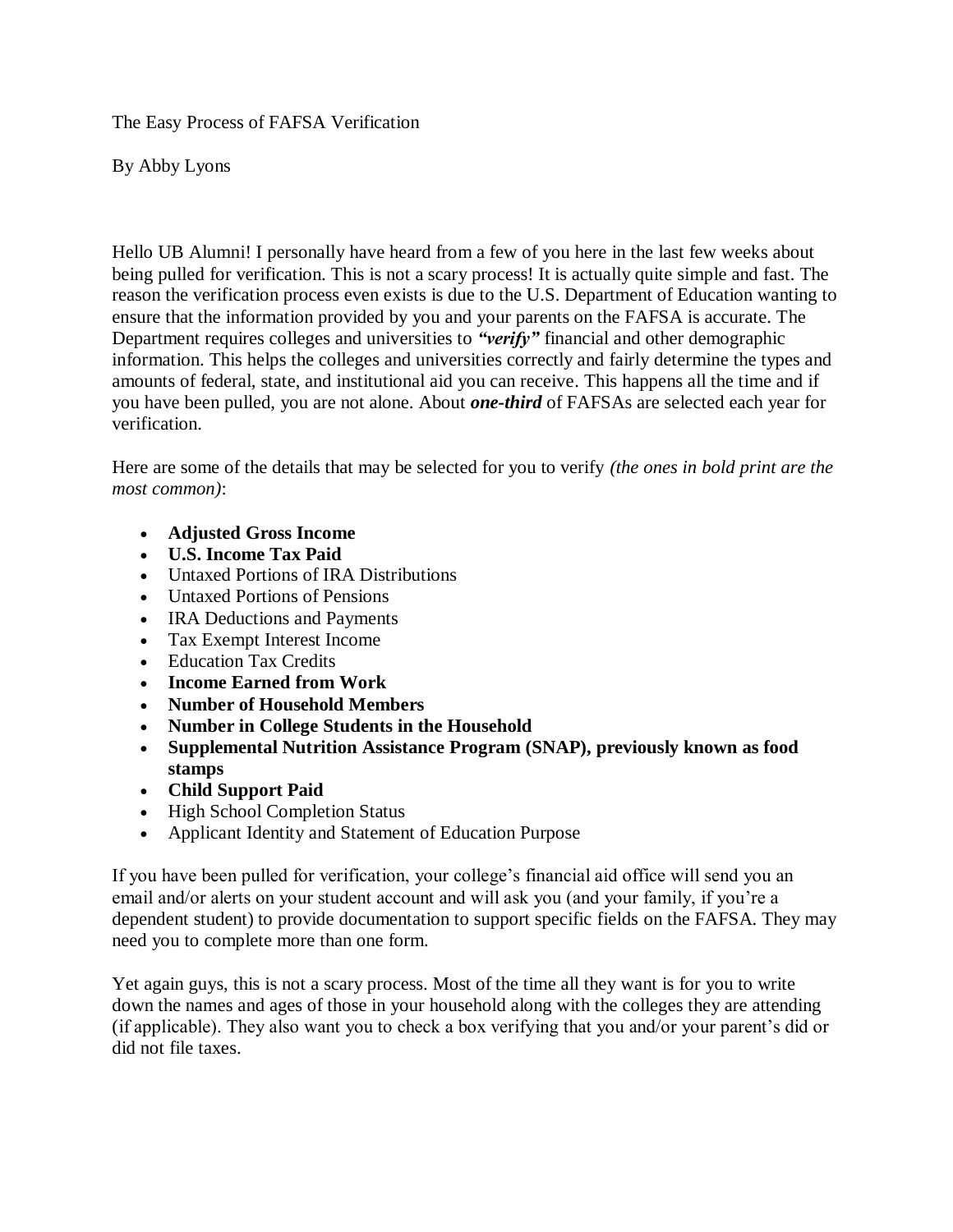The Easy Process of FAFSA Verification

By Abby Lyons

Hello UB Alumni! I personally have heard from a few of you here in the last few weeks about being pulled for verification. This is not a scary process! It is actually quite simple and fast. The reason the verification process even exists is due to the U.S. Department of Education wanting to ensure that the information provided by you and your parents on the FAFSA is accurate. The Department requires colleges and universities to *"verify"* financial and other demographic information. This helps the colleges and universities correctly and fairly determine the types and amounts of federal, state, and institutional aid you can receive. This happens all the time and if you have been pulled, you are not alone. About *one-third* of FAFSAs are selected each year for verification.

Here are some of the details that may be selected for you to verify *(the ones in bold print are the most common)*:

- **Adjusted Gross Income**
- **U.S. Income Tax Paid**
- Untaxed Portions of IRA Distributions
- Untaxed Portions of Pensions
- IRA Deductions and Payments
- Tax Exempt Interest Income
- Education Tax Credits
- **Income Earned from Work**
- **Number of Household Members**
- **Number in College Students in the Household**
- **Supplemental Nutrition Assistance Program (SNAP), previously known as food stamps**
- **Child Support Paid**
- High School Completion Status
- Applicant Identity and Statement of Education Purpose

If you have been pulled for verification, your college's financial aid office will send you an email and/or alerts on your student account and will ask you (and your family, if you're a dependent student) to provide documentation to support specific fields on the FAFSA. They may need you to complete more than one form.

Yet again guys, this is not a scary process. Most of the time all they want is for you to write down the names and ages of those in your household along with the colleges they are attending (if applicable). They also want you to check a box verifying that you and/or your parent's did or did not file taxes.